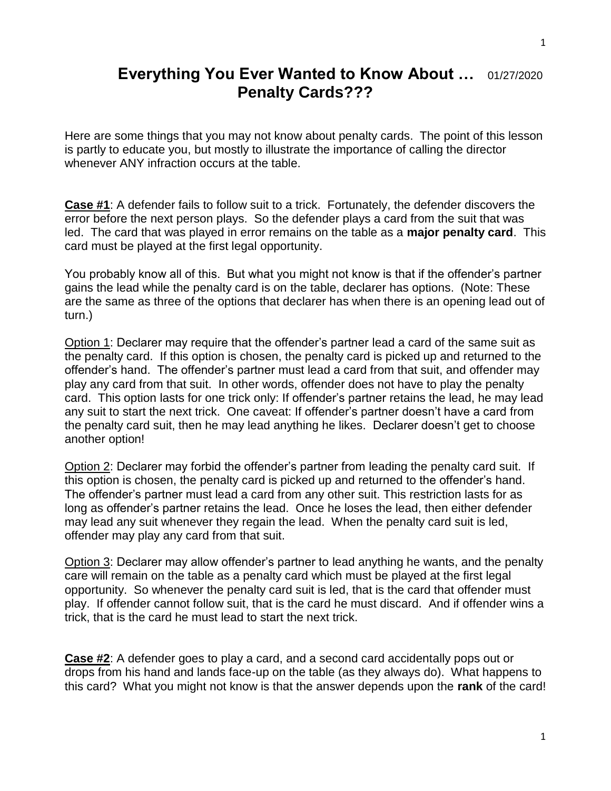## **Everything You Ever Wanted to Know About …** 01/27/2020 **Penalty Cards???**

Here are some things that you may not know about penalty cards. The point of this lesson is partly to educate you, but mostly to illustrate the importance of calling the director whenever ANY infraction occurs at the table.

**Case #1**: A defender fails to follow suit to a trick. Fortunately, the defender discovers the error before the next person plays. So the defender plays a card from the suit that was led. The card that was played in error remains on the table as a **major penalty card**. This card must be played at the first legal opportunity.

You probably know all of this. But what you might not know is that if the offender's partner gains the lead while the penalty card is on the table, declarer has options. (Note: These are the same as three of the options that declarer has when there is an opening lead out of turn.)

Option 1: Declarer may require that the offender's partner lead a card of the same suit as the penalty card. If this option is chosen, the penalty card is picked up and returned to the offender's hand. The offender's partner must lead a card from that suit, and offender may play any card from that suit. In other words, offender does not have to play the penalty card. This option lasts for one trick only: If offender's partner retains the lead, he may lead any suit to start the next trick. One caveat: If offender's partner doesn't have a card from the penalty card suit, then he may lead anything he likes. Declarer doesn't get to choose another option!

Option 2: Declarer may forbid the offender's partner from leading the penalty card suit. If this option is chosen, the penalty card is picked up and returned to the offender's hand. The offender's partner must lead a card from any other suit. This restriction lasts for as long as offender's partner retains the lead. Once he loses the lead, then either defender may lead any suit whenever they regain the lead. When the penalty card suit is led, offender may play any card from that suit.

Option 3: Declarer may allow offender's partner to lead anything he wants, and the penalty care will remain on the table as a penalty card which must be played at the first legal opportunity. So whenever the penalty card suit is led, that is the card that offender must play. If offender cannot follow suit, that is the card he must discard. And if offender wins a trick, that is the card he must lead to start the next trick.

**Case #2**: A defender goes to play a card, and a second card accidentally pops out or drops from his hand and lands face-up on the table (as they always do). What happens to this card? What you might not know is that the answer depends upon the **rank** of the card!